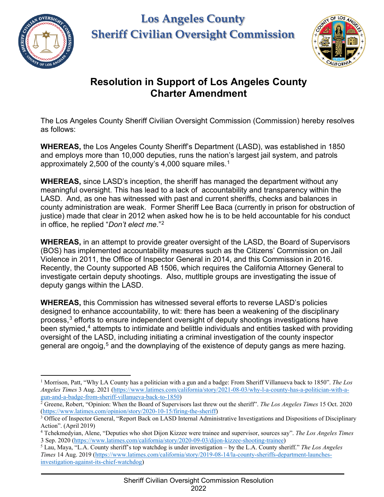

## **Los Angeles County Sheriff Civilian Oversight Commission**



## **Resolution in Support of Los Angeles County Charter Amendment**

The Los Angeles County Sheriff Civilian Oversight Commission (Commission) hereby resolves as follows:

**WHEREAS,** the Los Angeles County Sheriff's Department (LASD), was established in 1850 and employs more than 10,000 deputies, runs the nation's largest jail system, and patrols approximately 2,500 of the county's 4,000 square miles.<sup>[1](#page-0-0)</sup>

**WHEREAS,** since LASD's inception, the sheriff has managed the department without any meaningful oversight. This has lead to a lack of accountability and transparency within the LASD. And, as one has witnessed with past and current sheriffs, checks and balances in county administration are weak. Former Sheriff Lee Baca (currently in prison for obstruction of justice) made that clear in 2012 when asked how he is to be held accountable for his conduct in office, he replied "*Don't elect me*."[2](#page-0-1)

**WHEREAS,** in an attempt to provide greater oversight of the LASD, the Board of Supervisors (BOS) has implemented accountability measures such as the Citizens' Commission on Jail Violence in 2011, the Office of Inspector General in 2014, and this Commission in 2016. Recently, the County supported AB 1506, which requires the California Attorney General to investigate certain deputy shootings. Also, mutltiple groups are investigating the issue of deputy gangs within the LASD.

**WHEREAS,** this Commission has witnessed several efforts to reverse LASD's policies designed to enhance accountability, to wit: there has been a weakening of the disciplinary process, [3](#page-0-2) efforts to ensure independent oversight of deputy shootings investigations have been stymied, $^4$  $^4$  attempts to intimidate and belittle individuals and entities tasked with providing oversight of the LASD, including initiating a criminal investigation of the county inspector general are ongoig,<sup>[5](#page-0-4)</sup> and the downplaying of the existence of deputy gangs as mere hazing.

<span id="page-0-0"></span><sup>1</sup> Morrison, Patt, "Why LA County has a politician with a gun and a badge: From Sheriff Villanueva back to 1850". *The Los Angeles Times* 3 Aug. 2021 [\(https://www.latimes.com/california/story/2021-08-03/why-l-a-county-has-a-politician-with-a](https://www.latimes.com/california/story/2021-08-03/why-l-a-county-has-a-politician-with-a-gun-and-a-badge-from-sheriff-villanueva-back-to-1850)[gun-and-a-badge-from-sheriff-villanueva-back-to-1850\)](https://www.latimes.com/california/story/2021-08-03/why-l-a-county-has-a-politician-with-a-gun-and-a-badge-from-sheriff-villanueva-back-to-1850)

<span id="page-0-1"></span> $2\overline{2}$  Greene, Robert, "Opinion: When the Board of Supervisors last threw out the sheriff". *The Los Angeles Times* 15 Oct. 2020 [\(https://www.latimes.com/opinion/story/2020-10-15/firing-the-sheriff\)](https://www.latimes.com/opinion/story/2020-10-15/firing-the-sheriff)

<span id="page-0-2"></span><sup>&</sup>lt;sup>3</sup> Office of Inspector General, "Report Back on LASD Internal Administrative Investigations and Dispositions of Disciplinary Action". (April 2019)

<span id="page-0-3"></span><sup>4</sup> Tchekmedyian, Alene, "Deputies who shot Dijon Kizzee were trainee and supervisor, sources say". *The Los Angeles Times* 3 Sep. 2020 [\(https://www.latimes.com/california/story/2020-09-03/dijon-kizzee-shooting-trainee\)](https://www.latimes.com/california/story/2020-09-03/dijon-kizzee-shooting-trainee)

<span id="page-0-4"></span><sup>5</sup> Lau, Maya, "L.A. County sheriff's top watchdog is under investigation – by the L.A. County sheriff." *The Los Angeles Times* 14 Aug. 2019 [\(https://www.latimes.com/california/story/2019-08-14/la-county-sheriffs-department-launches](https://www.latimes.com/california/story/2019-08-14/la-county-sheriffs-department-launches-investigation-against-its-chief-watchdog)[investigation-against-its-chief-watchdog\)](https://www.latimes.com/california/story/2019-08-14/la-county-sheriffs-department-launches-investigation-against-its-chief-watchdog)